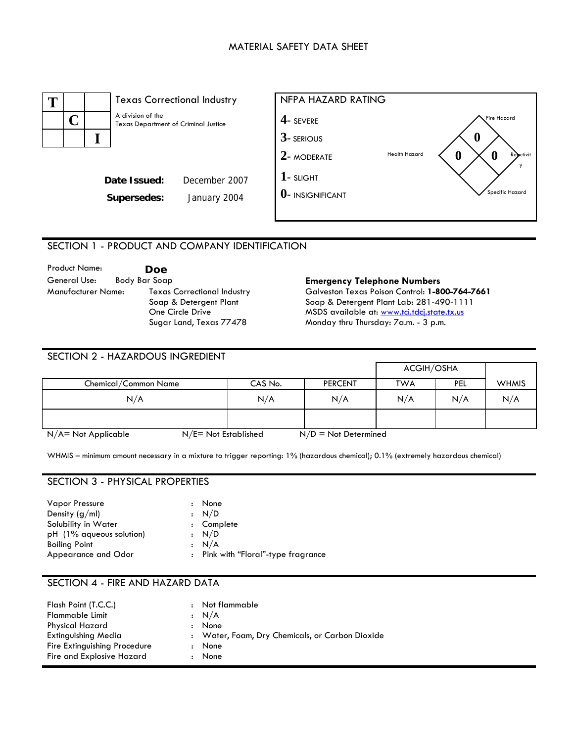# MATERIAL SAFETY DATA SHEET



#### SECTION 1 - PRODUCT AND COMPANY IDENTIFICATION

| <b>Product Name:</b> |               | Doe                                |
|----------------------|---------------|------------------------------------|
| General Use:         | Body Bar Soap |                                    |
| Manufacturer Name:   |               | <b>Texas Correctional Industry</b> |
|                      |               | Soap & Detergent Plant             |
|                      |               | One Circle Drive                   |
|                      |               | Sugar Land, Texas 77478            |

#### **Emergency Telephone Numbers**

Galveston Texas Poison Control: **1-800-764-7661**  Soap & Detergent Plant Lab: 281-490-1111 MSDS available at: [www.tci.tdcj.state.tx.us](http://www.tci.tdcj.state.tx.us/) Monday thru Thursday: 7a.m. - 3 p.m.

| SECTION 2 - HAZARDOUS INGREDIENT |                         |         |                        |            |     |              |
|----------------------------------|-------------------------|---------|------------------------|------------|-----|--------------|
|                                  |                         |         |                        | ACGIH/OSHA |     |              |
| Chemical/Common Name             |                         | CAS No. | <b>PERCENT</b>         | <b>TWA</b> | PEL | <b>WHMIS</b> |
| N/A                              |                         | N/A     | N/A                    | N/A        | N/A | N/A          |
|                                  |                         |         |                        |            |     |              |
| $N/A$ = Not Applicable           | $N/E = Not$ Established |         | $N/D = Not Determined$ |            |     |              |

WHMIS – minimum amount necessary in a mixture to trigger reporting: 1% (hazardous chemical); 0.1% (extremely hazardous chemical)

# SECTION 3 - PHYSICAL PROPERTIES

| <b>Vapor Pressure</b>    | : None                              |
|--------------------------|-------------------------------------|
| Density $(g/ml)$         | : N/D                               |
| Solubility in Water      | : Complete                          |
| pH (1% aqueous solution) | : N/D                               |
| <b>Boiling Point</b>     | : N/A                               |
| Appearance and Odor      | : Pink with "Floral"-type fragrance |

#### SECTION 4 - FIRE AND HAZARD DATA

| Flash Point (T.C.C.)<br>$\mathbf{r}$ | Not flammable                                   |
|--------------------------------------|-------------------------------------------------|
| Flammable Limit                      | $\cdot$ N/A                                     |
| <b>Physical Hazard</b>               | None                                            |
| Extinguishing Media                  | : Water, Foam, Dry Chemicals, or Carbon Dioxide |
| Fire Extinguishing Procedure         | None                                            |
| Fire and Explosive Hazard            | None                                            |